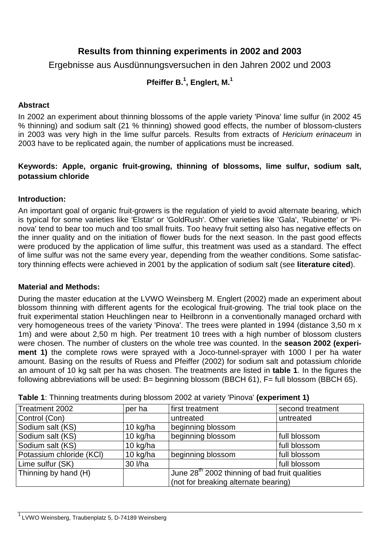# **Results from thinning experiments in 2002 and 2003**

Ergebnisse aus Ausdünnungsversuchen in den Jahren 2002 und 2003

# **Pfeiffer B.<sup>1</sup> , Englert, M.<sup>1</sup>**

### **Abstract**

In 2002 an experiment about thinning blossoms of the apple variety 'Pinova' lime sulfur (in 2002 45 % thinning) and sodium salt (21 % thinning) showed good effects, the number of blossom-clusters in 2003 was very high in the lime sulfur parcels. Results from extracts of Hericium erinaceum in 2003 have to be replicated again, the number of applications must be increased.

### **Keywords: Apple, organic fruit-growing, thinning of blossoms, lime sulfur, sodium salt, potassium chloride**

### **Introduction:**

An important goal of organic fruit-growers is the regulation of yield to avoid alternate bearing, which is typical for some varieties like 'Elstar' or 'GoldRush'. Other varieties like 'Gala', 'Rubinette' or 'Pinova' tend to bear too much and too small fruits. Too heavy fruit setting also has negative effects on the inner quality and on the initiation of flower buds for the next season. In the past good effects were produced by the application of lime sulfur, this treatment was used as a standard. The effect of lime sulfur was not the same every year, depending from the weather conditions. Some satisfactory thinning effects were achieved in 2001 by the application of sodium salt (see **literature cited**).

### **Material and Methods:**

During the master education at the LVWO Weinsberg M. Englert (2002) made an experiment about blossom thinning with different agents for the ecological fruit-growing. The trial took place on the fruit experimental station Heuchlingen near to Heilbronn in a conventionally managed orchard with very homogeneous trees of the variety 'Pinova'. The trees were planted in 1994 (distance 3,50 m x 1m) and were about 2,50 m high. Per treatment 10 trees with a high number of blossom clusters were chosen. The number of clusters on the whole tree was counted. In the **season 2002 (experiment 1)** the complete rows were sprayed with a Joco-tunnel-sprayer with 1000 l per ha water amount. Basing on the results of Ruess and Pfeiffer (2002) for sodium salt and potassium chloride an amount of 10 kg salt per ha was chosen. The treatments are listed in **table 1**. In the figures the following abbreviations will be used: B= beginning blossom (BBCH 61), F= full blossom (BBCH 65).

| Treatment 2002           | per ha     | first treatment                                            | second treatment |
|--------------------------|------------|------------------------------------------------------------|------------------|
| Control (Con)            |            | untreated                                                  | untreated        |
| Sodium salt (KS)         | 10 kg/ha   | beginning blossom                                          |                  |
| Sodium salt (KS)         | 10 kg/ha   | beginning blossom                                          | full blossom     |
| Sodium salt (KS)         | 10 $kg/ha$ |                                                            | full blossom     |
| Potassium chloride (KCI) | 10 kg/ha   | beginning blossom                                          | full blossom     |
| Lime sulfur (SK)         | 30 l/ha    |                                                            | full blossom     |
| Thinning by hand (H)     |            | June 28 <sup>th</sup> 2002 thinning of bad fruit qualities |                  |
|                          |            | (not for breaking alternate bearing)                       |                  |

**Table 1**: Thinning treatments during blossom 2002 at variety 'Pinova' **(experiment 1)**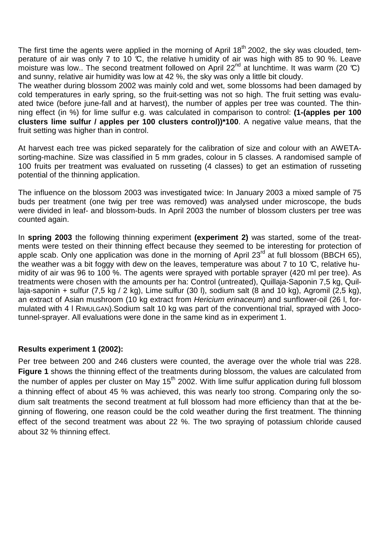The first time the agents were applied in the morning of April 18<sup>th</sup> 2002, the sky was clouded, temperature of air was only 7 to 10 °C, the relative h umidity of air was high with 85 to 90 %. Leave moisture was low.. The second treatment followed on April 22<sup>nd</sup> at lunchtime. It was warm (20 °C) and sunny, relative air humidity was low at 42 %, the sky was only a little bit cloudy.

The weather during blossom 2002 was mainly cold and wet, some blossoms had been damaged by cold temperatures in early spring, so the fruit-setting was not so high. The fruit setting was evaluated twice (before june-fall and at harvest), the number of apples per tree was counted. The thinning effect (in %) for lime sulfur e.g. was calculated in comparison to control: **(1-(apples per 100 clusters lime sulfur / apples per 100 clusters control))\*100**. A negative value means, that the fruit setting was higher than in control.

At harvest each tree was picked separately for the calibration of size and colour with an AWETAsorting-machine. Size was classified in 5 mm grades, colour in 5 classes. A randomised sample of 100 fruits per treatment was evaluated on russeting (4 classes) to get an estimation of russeting potential of the thinning application.

The influence on the blossom 2003 was investigated twice: In January 2003 a mixed sample of 75 buds per treatment (one twig per tree was removed) was analysed under microscope, the buds were divided in leaf- and blossom-buds. In April 2003 the number of blossom clusters per tree was counted again.

In **spring 2003** the following thinning experiment **(experiment 2)** was started, some of the treatments were tested on their thinning effect because they seemed to be interesting for protection of apple scab. Only one application was done in the morning of April  $23<sup>rd</sup>$  at full blossom (BBCH 65), the weather was a bit foggy with dew on the leaves, temperature was about 7 to 10  $\mathbb{C}$ , relative humidity of air was 96 to 100 %. The agents were sprayed with portable sprayer (420 ml per tree). As treatments were chosen with the amounts per ha: Control (untreated), Quillaja-Saponin 7,5 kg, Quillaja-saponin + sulfur (7,5 kg / 2 kg), Lime sulfur (30 l), sodium salt (8 and 10 kg), Agromil (2,5 kg), an extract of Asian mushroom (10 kg extract from Hericium erinaceum) and sunflower-oil (26 l, formulated with 4 l RIMULGAN).Sodium salt 10 kg was part of the conventional trial, sprayed with Jocotunnel-sprayer. All evaluations were done in the same kind as in experiment 1.

### **Results experiment 1 (2002):**

Per tree between 200 and 246 clusters were counted, the average over the whole trial was 228. **Figure 1** shows the thinning effect of the treatments during blossom, the values are calculated from the number of apples per cluster on May 15<sup>th</sup> 2002. With lime sulfur application during full blossom a thinning effect of about 45 % was achieved, this was nearly too strong. Comparing only the sodium salt treatments the second treatment at full blossom had more efficiency than that at the beginning of flowering, one reason could be the cold weather during the first treatment. The thinning effect of the second treatment was about 22 %. The two spraying of potassium chloride caused about 32 % thinning effect.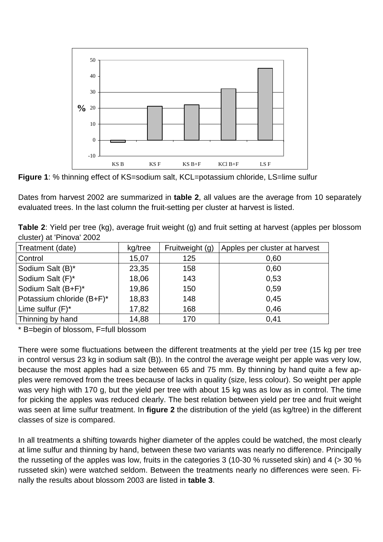

**Figure 1**: % thinning effect of KS=sodium salt, KCL=potassium chloride, LS=lime sulfur

Dates from harvest 2002 are summarized in **table 2**, all values are the average from 10 separately evaluated trees. In the last column the fruit-setting per cluster at harvest is listed.

**Table 2**: Yield per tree (kg), average fruit weight (g) and fruit setting at harvest (apples per blossom cluster) at 'Pinova' 2002

| Treatment (date)          | kg/tree | Fruitweight (g) | Apples per cluster at harvest |
|---------------------------|---------|-----------------|-------------------------------|
| Control                   | 15,07   | 125             | 0,60                          |
| Sodium Salt (B)*          | 23,35   | 158             | 0,60                          |
| Sodium Salt (F)*          | 18,06   | 143             | 0,53                          |
| Sodium Salt (B+F)*        | 19,86   | 150             | 0,59                          |
| Potassium chloride (B+F)* | 18,83   | 148             | 0,45                          |
| Lime sulfur (F)*          | 17,82   | 168             | 0.46                          |
| Thinning by hand          | 14,88   | 170             | 0,41                          |

\* B=begin of blossom, F=full blossom

There were some fluctuations between the different treatments at the yield per tree (15 kg per tree in control versus 23 kg in sodium salt (B)). In the control the average weight per apple was very low, because the most apples had a size between 65 and 75 mm. By thinning by hand quite a few apples were removed from the trees because of lacks in quality (size, less colour). So weight per apple was very high with 170 g, but the yield per tree with about 15 kg was as low as in control. The time for picking the apples was reduced clearly. The best relation between yield per tree and fruit weight was seen at lime sulfur treatment. In **figure 2** the distribution of the yield (as kg/tree) in the different classes of size is compared.

In all treatments a shifting towards higher diameter of the apples could be watched, the most clearly at lime sulfur and thinning by hand, between these two variants was nearly no difference. Principally the russeting of the apples was low, fruits in the categories 3 (10-30 % russeted skin) and 4 (> 30 % russeted skin) were watched seldom. Between the treatments nearly no differences were seen. Finally the results about blossom 2003 are listed in **table 3**.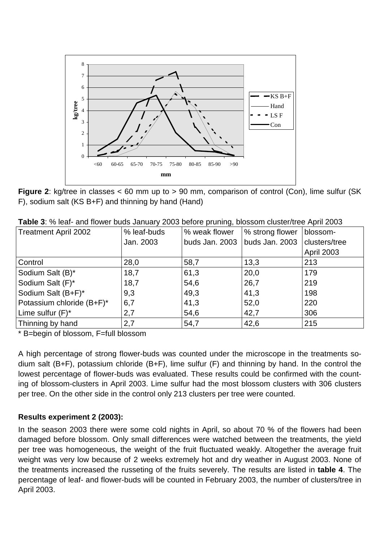

**Figure 2**: kg/tree in classes < 60 mm up to > 90 mm, comparison of control (Con), lime sulfur (SK F), sodium salt (KS B+F) and thinning by hand (Hand)

| <b>Table 3.</b> 70 lear- and hower buds Jamuary 2003 before pruning, blossum cluster/liee Aphi 2003 |             |                                  |                |                   |
|-----------------------------------------------------------------------------------------------------|-------------|----------------------------------|----------------|-------------------|
| <b>Treatment April 2002</b>                                                                         | % leaf-buds | % strong flower<br>% weak flower |                | blossom-          |
|                                                                                                     | Jan. 2003   | buds Jan. 2003                   | buds Jan. 2003 | clusters/tree     |
|                                                                                                     |             |                                  |                | <b>April 2003</b> |
| Control                                                                                             | 28,0        | 58,7                             | 13,3           | 213               |
| Sodium Salt (B)*                                                                                    | 18,7        | 61,3                             | 20,0           | 179               |
| Sodium Salt (F)*                                                                                    | 18,7        | 54,6                             | 26,7           | 219               |
| Sodium Salt (B+F)*                                                                                  | 9,3         | 49,3                             | 41,3           | 198               |
| Potassium chloride (B+F)*                                                                           | 6,7         | 41,3                             | 52,0           | 220               |
| Lime sulfur $(F)^*$                                                                                 | 2,7         | 54,6                             | 42,7           | 306               |

Thinning by hand 2,7 54,7 42,6 215

**Table 3**: % leaf- and flower buds January 2003 before pruning, blossom cluster/tree April 2003

\* B=begin of blossom, F=full blossom

A high percentage of strong flower-buds was counted under the microscope in the treatments sodium salt (B+F), potassium chloride (B+F), lime sulfur (F) and thinning by hand. In the control the lowest percentage of flower-buds was evaluated. These results could be confirmed with the counting of blossom-clusters in April 2003. Lime sulfur had the most blossom clusters with 306 clusters per tree. On the other side in the control only 213 clusters per tree were counted.

### **Results experiment 2 (2003):**

In the season 2003 there were some cold nights in April, so about 70 % of the flowers had been damaged before blossom. Only small differences were watched between the treatments, the yield per tree was homogeneous, the weight of the fruit fluctuated weakly. Altogether the average fruit weight was very low because of 2 weeks extremely hot and dry weather in August 2003. None of the treatments increased the russeting of the fruits severely. The results are listed in **table 4**. The percentage of leaf- and flower-buds will be counted in February 2003, the number of clusters/tree in April 2003.